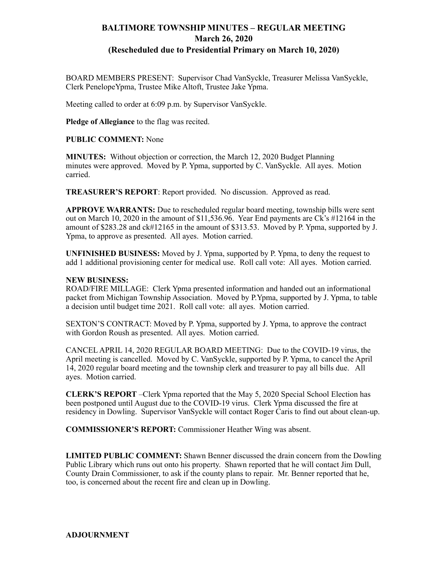## **BALTIMORE TOWNSHIP MINUTES – REGULAR MEETING March 26, 2020 (Rescheduled due to Presidential Primary on March 10, 2020)**

BOARD MEMBERS PRESENT: Supervisor Chad VanSyckle, Treasurer Melissa VanSyckle, Clerk PenelopeYpma, Trustee Mike Altoft, Trustee Jake Ypma.

Meeting called to order at 6:09 p.m. by Supervisor VanSyckle.

**Pledge of Allegiance** to the flag was recited.

**PUBLIC COMMENT:** None

**MINUTES:** Without objection or correction, the March 12, 2020 Budget Planning minutes were approved. Moved by P. Ypma, supported by C. VanSyckle. All ayes. Motion carried.

**TREASURER'S REPORT**: Report provided. No discussion. Approved as read.

**APPROVE WARRANTS:** Due to rescheduled regular board meeting, township bills were sent out on March 10, 2020 in the amount of \$11,536.96. Year End payments are Ck's #12164 in the amount of \$283.28 and ck#12165 in the amount of \$313.53. Moved by P. Ypma, supported by J. Ypma, to approve as presented. All ayes. Motion carried.

**UNFINISHED BUSINESS:** Moved by J. Ypma, supported by P. Ypma, to deny the request to add 1 additional provisioning center for medical use. Roll call vote: All ayes. Motion carried.

## **NEW BUSINESS:**

ROAD/FIRE MILLAGE: Clerk Ypma presented information and handed out an informational packet from Michigan Township Association. Moved by P.Ypma, supported by J. Ypma, to table a decision until budget time 2021. Roll call vote: all ayes. Motion carried.

SEXTON'S CONTRACT: Moved by P. Ypma, supported by J. Ypma, to approve the contract with Gordon Roush as presented. All ayes. Motion carried.

CANCEL APRIL 14, 2020 REGULAR BOARD MEETING: Due to the COVID-19 virus, the April meeting is cancelled. Moved by C. VanSyckle, supported by P. Ypma, to cancel the April 14, 2020 regular board meeting and the township clerk and treasurer to pay all bills due. All ayes. Motion carried.

**CLERK'S REPORT** –Clerk Ypma reported that the May 5, 2020 Special School Election has been postponed until August due to the COVID-19 virus. Clerk Ypma discussed the fire at residency in Dowling. Supervisor VanSyckle will contact Roger Caris to find out about clean-up.

**COMMISSIONER'S REPORT:** Commissioner Heather Wing was absent.

**LIMITED PUBLIC COMMENT:** Shawn Benner discussed the drain concern from the Dowling Public Library which runs out onto his property. Shawn reported that he will contact Jim Dull, County Drain Commissioner, to ask if the county plans to repair. Mr. Benner reported that he, too, is concerned about the recent fire and clean up in Dowling.

**ADJOURNMENT**